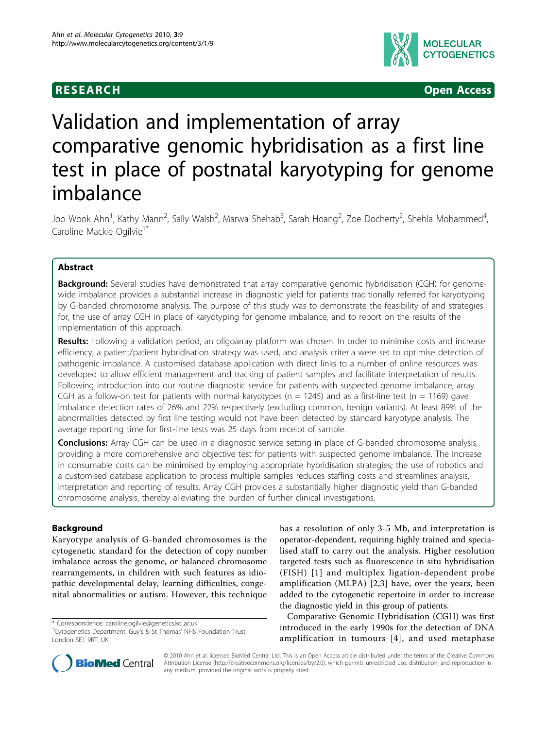## **RESEARCH CONSTRUCTER CONSTRUCTS CONSTRUCTS**



# Validation and implementation of array comparative genomic hybridisation as a first line test in place of postnatal karyotyping for genome imbalance

Joo Wook Ahn<sup>1</sup>, Kathy Mann<sup>2</sup>, Sally Walsh<sup>2</sup>, Marwa Shehab<sup>3</sup>, Sarah Hoang<sup>2</sup>, Zoe Docherty<sup>2</sup>, Shehla Mohammed<sup>4</sup> , Caroline Mackie Ogilvie<sup>1\*</sup>

## Abstract

Background: Several studies have demonstrated that array comparative genomic hybridisation (CGH) for genomewide imbalance provides a substantial increase in diagnostic yield for patients traditionally referred for karyotyping by G-banded chromosome analysis. The purpose of this study was to demonstrate the feasibility of and strategies for, the use of array CGH in place of karyotyping for genome imbalance, and to report on the results of the implementation of this approach.

Results: Following a validation period, an oligoarray platform was chosen. In order to minimise costs and increase efficiency, a patient/patient hybridisation strategy was used, and analysis criteria were set to optimise detection of pathogenic imbalance. A customised database application with direct links to a number of online resources was developed to allow efficient management and tracking of patient samples and facilitate interpretation of results. Following introduction into our routine diagnostic service for patients with suspected genome imbalance, array CGH as a follow-on test for patients with normal karyotypes ( $n = 1245$ ) and as a first-line test ( $n = 1169$ ) gave imbalance detection rates of 26% and 22% respectively (excluding common, benign variants). At least 89% of the abnormalities detected by first line testing would not have been detected by standard karyotype analysis. The average reporting time for first-line tests was 25 days from receipt of sample.

**Conclusions:** Array CGH can be used in a diagnostic service setting in place of G-banded chromosome analysis, providing a more comprehensive and objective test for patients with suspected genome imbalance. The increase in consumable costs can be minimised by employing appropriate hybridisation strategies; the use of robotics and a customised database application to process multiple samples reduces staffing costs and streamlines analysis, interpretation and reporting of results. Array CGH provides a substantially higher diagnostic yield than G-banded chromosome analysis, thereby alleviating the burden of further clinical investigations.

## Background

Karyotype analysis of G-banded chromosomes is the cytogenetic standard for the detection of copy number imbalance across the genome, or balanced chromosome rearrangements, in children with such features as idiopathic developmental delay, learning difficulties, congenital abnormalities or autism. However, this technique

has a resolution of only 3-5 Mb, and interpretation is operator-dependent, requiring highly trained and specialised staff to carry out the analysis. Higher resolution targeted tests such as fluorescence in situ hybridisation (FISH) [[1](#page-6-0)] and multiplex ligation-dependent probe amplification (MLPA) [\[2,3](#page-6-0)] have, over the years, been added to the cytogenetic repertoire in order to increase the diagnostic yield in this group of patients.

Comparative Genomic Hybridisation (CGH) was first introduced in the early 1990s for the detection of DNA amplification in tumours [[4](#page-6-0)], and used metaphase



© 2010 Ahn et al; licensee BioMed Central Ltd. This is an Open Access article distributed under the terms of the Creative Commons Attribution License [\(http://creativecommons.org/licenses/by/2.0](http://creativecommons.org/licenses/by/2.0)), which permits unrestricted use, distribution, and reproduction in any medium, provided the original work is properly cited.

<sup>\*</sup> Correspondence: [caroline.ogilvie@genetics.kcl.ac.uk](mailto:caroline.ogilvie@genetics.kcl.ac.uk)

<sup>&</sup>lt;sup>1</sup>Cytogenetics Department, Guy's & St Thomas' NHS Foundation Trust, London SE1 9RT, UK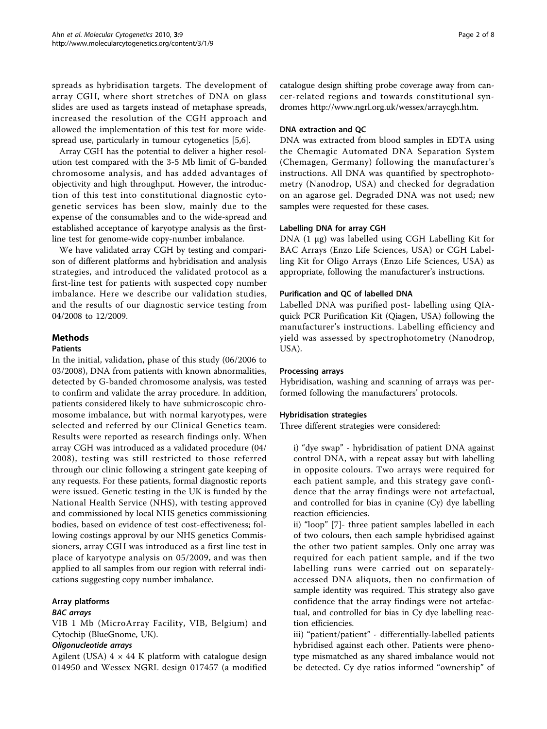spreads as hybridisation targets. The development of array CGH, where short stretches of DNA on glass slides are used as targets instead of metaphase spreads, increased the resolution of the CGH approach and allowed the implementation of this test for more widespread use, particularly in tumour cytogenetics [[5,6\]](#page-6-0).

Array CGH has the potential to deliver a higher resolution test compared with the 3-5 Mb limit of G-banded chromosome analysis, and has added advantages of objectivity and high throughput. However, the introduction of this test into constitutional diagnostic cytogenetic services has been slow, mainly due to the expense of the consumables and to the wide-spread and established acceptance of karyotype analysis as the firstline test for genome-wide copy-number imbalance.

We have validated array CGH by testing and comparison of different platforms and hybridisation and analysis strategies, and introduced the validated protocol as a first-line test for patients with suspected copy number imbalance. Here we describe our validation studies, and the results of our diagnostic service testing from 04/2008 to 12/2009.

## Methods

#### **Patients**

In the initial, validation, phase of this study (06/2006 to 03/2008), DNA from patients with known abnormalities, detected by G-banded chromosome analysis, was tested to confirm and validate the array procedure. In addition, patients considered likely to have submicroscopic chromosome imbalance, but with normal karyotypes, were selected and referred by our Clinical Genetics team. Results were reported as research findings only. When array CGH was introduced as a validated procedure (04/ 2008), testing was still restricted to those referred through our clinic following a stringent gate keeping of any requests. For these patients, formal diagnostic reports were issued. Genetic testing in the UK is funded by the National Health Service (NHS), with testing approved and commissioned by local NHS genetics commissioning bodies, based on evidence of test cost-effectiveness; following costings approval by our NHS genetics Commissioners, array CGH was introduced as a first line test in place of karyotype analysis on 05/2009, and was then applied to all samples from our region with referral indications suggesting copy number imbalance.

## Array platforms

#### BAC arrays

VIB 1 Mb (MicroArray Facility, VIB, Belgium) and Cytochip (BlueGnome, UK).

#### Oligonucleotide arrays

Agilent (USA)  $4 \times 44$  K platform with catalogue design 014950 and Wessex NGRL design 017457 (a modified catalogue design shifting probe coverage away from cancer-related regions and towards constitutional syndromes<http://www.ngrl.org.uk/wessex/arraycgh.htm>.

### DNA extraction and QC

DNA was extracted from blood samples in EDTA using the Chemagic Automated DNA Separation System (Chemagen, Germany) following the manufacturer's instructions. All DNA was quantified by spectrophotometry (Nanodrop, USA) and checked for degradation on an agarose gel. Degraded DNA was not used; new samples were requested for these cases.

## Labelling DNA for array CGH

DNA (1 μg) was labelled using CGH Labelling Kit for BAC Arrays (Enzo Life Sciences, USA) or CGH Labelling Kit for Oligo Arrays (Enzo Life Sciences, USA) as appropriate, following the manufacturer's instructions.

## Purification and QC of labelled DNA

Labelled DNA was purified post- labelling using QIAquick PCR Purification Kit (Qiagen, USA) following the manufacturer's instructions. Labelling efficiency and yield was assessed by spectrophotometry (Nanodrop, USA).

#### Processing arrays

Hybridisation, washing and scanning of arrays was performed following the manufacturers' protocols.

#### Hybridisation strategies

Three different strategies were considered:

i) "dye swap" - hybridisation of patient DNA against control DNA, with a repeat assay but with labelling in opposite colours. Two arrays were required for each patient sample, and this strategy gave confidence that the array findings were not artefactual, and controlled for bias in cyanine (Cy) dye labelling reaction efficiencies.

ii) "loop" [[7\]](#page-6-0)- three patient samples labelled in each of two colours, then each sample hybridised against the other two patient samples. Only one array was required for each patient sample, and if the two labelling runs were carried out on separatelyaccessed DNA aliquots, then no confirmation of sample identity was required. This strategy also gave confidence that the array findings were not artefactual, and controlled for bias in Cy dye labelling reaction efficiencies.

iii) "patient/patient" - differentially-labelled patients hybridised against each other. Patients were phenotype mismatched as any shared imbalance would not be detected. Cy dye ratios informed "ownership" of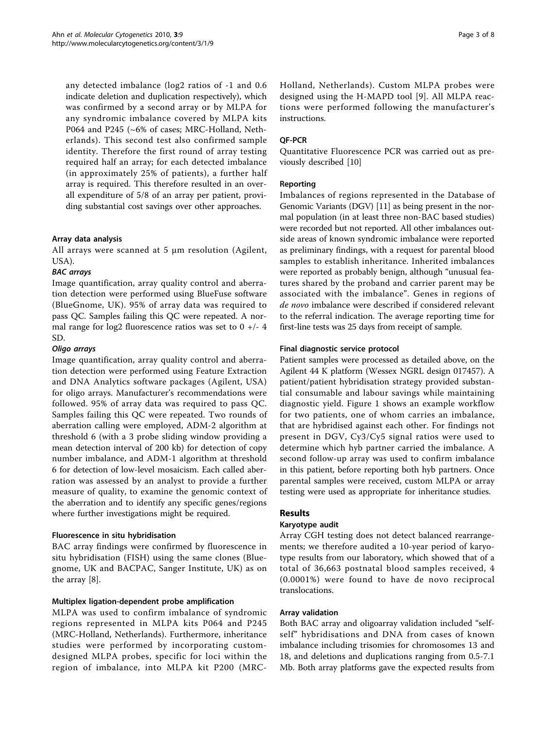any detected imbalance (log2 ratios of -1 and 0.6 indicate deletion and duplication respectively), which was confirmed by a second array or by MLPA for any syndromic imbalance covered by MLPA kits P064 and P245 (~6% of cases; MRC-Holland, Netherlands). This second test also confirmed sample identity. Therefore the first round of array testing required half an array; for each detected imbalance (in approximately 25% of patients), a further half array is required. This therefore resulted in an overall expenditure of 5/8 of an array per patient, providing substantial cost savings over other approaches.

#### Array data analysis

All arrays were scanned at 5 μm resolution (Agilent, USA).

#### BAC arrays

Image quantification, array quality control and aberration detection were performed using BlueFuse software (BlueGnome, UK). 95% of array data was required to pass QC. Samples failing this QC were repeated. A normal range for  $log2$  fluorescence ratios was set to  $0 +/- 4$ SD.

#### Oligo arrays

Image quantification, array quality control and aberration detection were performed using Feature Extraction and DNA Analytics software packages (Agilent, USA) for oligo arrays. Manufacturer's recommendations were followed. 95% of array data was required to pass QC. Samples failing this QC were repeated. Two rounds of aberration calling were employed, ADM-2 algorithm at threshold 6 (with a 3 probe sliding window providing a mean detection interval of 200 kb) for detection of copy number imbalance, and ADM-1 algorithm at threshold 6 for detection of low-level mosaicism. Each called aberration was assessed by an analyst to provide a further measure of quality, to examine the genomic context of the aberration and to identify any specific genes/regions where further investigations might be required.

#### Fluorescence in situ hybridisation

BAC array findings were confirmed by fluorescence in situ hybridisation (FISH) using the same clones (Bluegnome, UK and BACPAC, Sanger Institute, UK) as on the array [[8](#page-6-0)].

#### Multiplex ligation-dependent probe amplification

MLPA was used to confirm imbalance of syndromic regions represented in MLPA kits P064 and P245 (MRC-Holland, Netherlands). Furthermore, inheritance studies were performed by incorporating customdesigned MLPA probes, specific for loci within the region of imbalance, into MLPA kit P200 (MRC-

Holland, Netherlands). Custom MLPA probes were designed using the H-MAPD tool [[9](#page-6-0)]. All MLPA reactions were performed following the manufacturer's instructions.

#### QF-PCR

Quantitative Fluorescence PCR was carried out as previously described [[10\]](#page-7-0)

#### Reporting

Imbalances of regions represented in the Database of Genomic Variants (DGV) [[11](#page-7-0)] as being present in the normal population (in at least three non-BAC based studies) were recorded but not reported. All other imbalances outside areas of known syndromic imbalance were reported as preliminary findings, with a request for parental blood samples to establish inheritance. Inherited imbalances were reported as probably benign, although "unusual features shared by the proband and carrier parent may be associated with the imbalance". Genes in regions of de novo imbalance were described if considered relevant to the referral indication. The average reporting time for first-line tests was 25 days from receipt of sample.

#### Final diagnostic service protocol

Patient samples were processed as detailed above, on the Agilent 44 K platform (Wessex NGRL design 017457). A patient/patient hybridisation strategy provided substantial consumable and labour savings while maintaining diagnostic yield. Figure [1](#page-3-0) shows an example workflow for two patients, one of whom carries an imbalance, that are hybridised against each other. For findings not present in DGV, Cy3/Cy5 signal ratios were used to determine which hyb partner carried the imbalance. A second follow-up array was used to confirm imbalance in this patient, before reporting both hyb partners. Once parental samples were received, custom MLPA or array testing were used as appropriate for inheritance studies.

#### Results

#### Karyotype audit

Array CGH testing does not detect balanced rearrangements; we therefore audited a 10-year period of karyotype results from our laboratory, which showed that of a total of 36,663 postnatal blood samples received, 4 (0.0001%) were found to have de novo reciprocal translocations.

#### Array validation

Both BAC array and oligoarray validation included "selfself" hybridisations and DNA from cases of known imbalance including trisomies for chromosomes 13 and 18, and deletions and duplications ranging from 0.5-7.1 Mb. Both array platforms gave the expected results from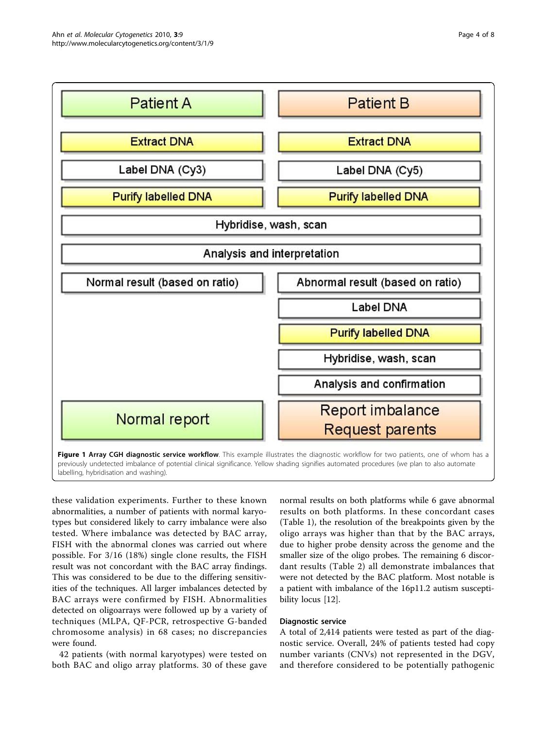<span id="page-3-0"></span>

previously undetected imbalance of potential clinical significance. Yellow shading signifies automated procedures (we plan to also automate labelling, hybridisation and washing).

these validation experiments. Further to these known abnormalities, a number of patients with normal karyotypes but considered likely to carry imbalance were also tested. Where imbalance was detected by BAC array, FISH with the abnormal clones was carried out where possible. For 3/16 (18%) single clone results, the FISH result was not concordant with the BAC array findings. This was considered to be due to the differing sensitivities of the techniques. All larger imbalances detected by BAC arrays were confirmed by FISH. Abnormalities detected on oligoarrays were followed up by a variety of techniques (MLPA, QF-PCR, retrospective G-banded chromosome analysis) in 68 cases; no discrepancies were found.

42 patients (with normal karyotypes) were tested on both BAC and oligo array platforms. 30 of these gave

normal results on both platforms while 6 gave abnormal results on both platforms. In these concordant cases (Table [1](#page-4-0)), the resolution of the breakpoints given by the oligo arrays was higher than that by the BAC arrays, due to higher probe density across the genome and the smaller size of the oligo probes. The remaining 6 discordant results (Table [2\)](#page-4-0) all demonstrate imbalances that were not detected by the BAC platform. Most notable is a patient with imbalance of the 16p11.2 autism susceptibility locus [[12](#page-7-0)].

#### Diagnostic service

A total of 2,414 patients were tested as part of the diagnostic service. Overall, 24% of patients tested had copy number variants (CNVs) not represented in the DGV, and therefore considered to be potentially pathogenic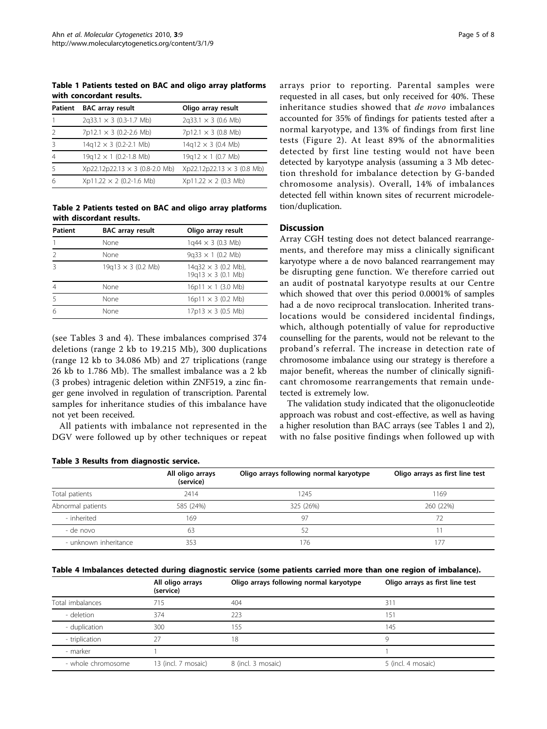<span id="page-4-0"></span>Table 1 Patients tested on BAC and oligo array platforms with concordant results.

| Patient BAC array result               | Oligo array result                |
|----------------------------------------|-----------------------------------|
| $2q33.1 \times 3 (0.3-1.7 \text{ Mb})$ | $2q33.1 \times 3$ (0.6 Mb)        |
| $7p12.1 \times 3$ (0.2-2.6 Mb)         | $7p12.1 \times 3$ (0.8 Mb)        |
| $14q12 \times 3$ (0.2-2.1 Mb)          | $14q12 \times 3$ (0.4 Mb)         |
| $19q12 \times 1$ (0.2-1.8 Mb)          | $19q12 \times 1$ (0.7 Mb)         |
| $Xp22.12p22.13 \times 3$ (0.8-2.0 Mb)  | $Xp22.12p22.13 \times 3$ (0.8 Mb) |
| $Xp11.22 \times 2$ (0.2-1.6 Mb)        | $Xp11.22 \times 2$ (0.3 Mb)       |

Table 2 Patients tested on BAC and oligo array platforms with discordant results.

| Patient | <b>BAC</b> array result   | Oligo array result                                      |
|---------|---------------------------|---------------------------------------------------------|
|         | None                      | $1q44 \times 3$ (0.3 Mb)                                |
|         | None                      | $9q33 \times 1$ (0.2 Mb)                                |
| ς       | $19q13 \times 3$ (0.2 Mb) | $14q32 \times 3$ (0.2 Mb),<br>$19q13 \times 3$ (0.1 Mb) |
| 4       | None                      | $16p11 \times 1$ (3.0 Mb)                               |
|         | None                      | $16p11 \times 3$ (0.2 Mb)                               |
| 6       | None                      | $17p13 \times 3$ (0.5 Mb)                               |

(see Tables 3 and 4). These imbalances comprised 374 deletions (range 2 kb to 19.215 Mb), 300 duplications (range 12 kb to 34.086 Mb) and 27 triplications (range 26 kb to 1.786 Mb). The smallest imbalance was a 2 kb (3 probes) intragenic deletion within ZNF519, a zinc finger gene involved in regulation of transcription. Parental samples for inheritance studies of this imbalance have not yet been received.

All patients with imbalance not represented in the DGV were followed up by other techniques or repeat

#### Table 3 Results from diagnostic service.

arrays prior to reporting. Parental samples were requested in all cases, but only received for 40%. These inheritance studies showed that de novo imbalances accounted for 35% of findings for patients tested after a normal karyotype, and 13% of findings from first line tests (Figure [2\)](#page-5-0). At least 89% of the abnormalities detected by first line testing would not have been detected by karyotype analysis (assuming a 3 Mb detection threshold for imbalance detection by G-banded chromosome analysis). Overall, 14% of imbalances detected fell within known sites of recurrent microdeletion/duplication.

#### **Discussion**

Array CGH testing does not detect balanced rearrangements, and therefore may miss a clinically significant karyotype where a de novo balanced rearrangement may be disrupting gene function. We therefore carried out an audit of postnatal karyotype results at our Centre which showed that over this period 0.0001% of samples had a de novo reciprocal translocation. Inherited translocations would be considered incidental findings, which, although potentially of value for reproductive counselling for the parents, would not be relevant to the proband's referral. The increase in detection rate of chromosome imbalance using our strategy is therefore a major benefit, whereas the number of clinically significant chromosome rearrangements that remain undetected is extremely low.

The validation study indicated that the oligonucleotide approach was robust and cost-effective, as well as having a higher resolution than BAC arrays (see Tables 1 and 2), with no false positive findings when followed up with

|                       | All oligo arrays<br>(service) | Oligo arrays following normal karyotype | Oligo arrays as first line test |  |  |
|-----------------------|-------------------------------|-----------------------------------------|---------------------------------|--|--|
| Total patients        | 2414                          | 1245                                    | 1169                            |  |  |
| Abnormal patients     | 585 (24%)                     | 325 (26%)                               | 260 (22%)                       |  |  |
| - inherited           | 169                           | 97                                      | 72                              |  |  |
| - de novo             | 63                            |                                         |                                 |  |  |
| - unknown inheritance | 353                           | 76ء                                     | 77ء                             |  |  |

Table 4 Imbalances detected during diagnostic service (some patients carried more than one region of imbalance).

|                    | All oligo arrays<br>(service) | Oligo arrays following normal karyotype | Oligo arrays as first line test |
|--------------------|-------------------------------|-----------------------------------------|---------------------------------|
| Total imbalances   | 715                           | 404                                     | 311                             |
| - deletion         | 374                           | 223                                     | 151                             |
| - duplication      | 300                           | 155                                     | 145                             |
| - triplication     | 27                            | 18                                      | Q                               |
| - marker           |                               |                                         |                                 |
| - whole chromosome | 13 (incl. 7 mosaic)           | 8 (incl. 3 mosaic)                      | 5 (incl. 4 mosaic)              |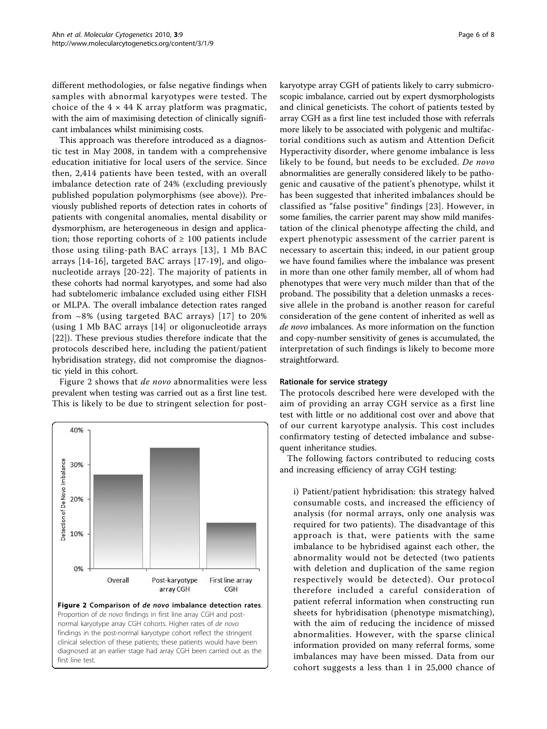<span id="page-5-0"></span>different methodologies, or false negative findings when samples with abnormal karyotypes were tested. The choice of the  $4 \times 44$  K array platform was pragmatic, with the aim of maximising detection of clinically significant imbalances whilst minimising costs.

This approach was therefore introduced as a diagnostic test in May 2008, in tandem with a comprehensive education initiative for local users of the service. Since then, 2,414 patients have been tested, with an overall imbalance detection rate of 24% (excluding previously published population polymorphisms (see above)). Previously published reports of detection rates in cohorts of patients with congenital anomalies, mental disability or dysmorphism, are heterogeneous in design and application; those reporting cohorts of  $\geq 100$  patients include those using tiling-path BAC arrays [[13\]](#page-7-0), 1 Mb BAC arrays [[14-16\]](#page-7-0), targeted BAC arrays [\[17-19](#page-7-0)], and oligonucleotide arrays [[20-22\]](#page-7-0). The majority of patients in these cohorts had normal karyotypes, and some had also had subtelomeric imbalance excluded using either FISH or MLPA. The overall imbalance detection rates ranged from  $\sim$ 8% (using targeted BAC arrays) [[17](#page-7-0)] to 20% (using 1 Mb BAC arrays [[14\]](#page-7-0) or oligonucleotide arrays [[22\]](#page-7-0)). These previous studies therefore indicate that the protocols described here, including the patient/patient hybridisation strategy, did not compromise the diagnostic yield in this cohort.

Figure 2 shows that de novo abnormalities were less prevalent when testing was carried out as a first line test. This is likely to be due to stringent selection for post-



Page 6 of 8

karyotype array CGH of patients likely to carry submicroscopic imbalance, carried out by expert dysmorphologists and clinical geneticists. The cohort of patients tested by array CGH as a first line test included those with referrals more likely to be associated with polygenic and multifactorial conditions such as autism and Attention Deficit Hyperactivity disorder, where genome imbalance is less likely to be found, but needs to be excluded. De novo abnormalities are generally considered likely to be pathogenic and causative of the patient's phenotype, whilst it has been suggested that inherited imbalances should be classified as "false positive" findings [[23](#page-7-0)]. However, in some families, the carrier parent may show mild manifestation of the clinical phenotype affecting the child, and expert phenotypic assessment of the carrier parent is necessary to ascertain this; indeed, in our patient group we have found families where the imbalance was present in more than one other family member, all of whom had phenotypes that were very much milder than that of the proband. The possibility that a deletion unmasks a recessive allele in the proband is another reason for careful consideration of the gene content of inherited as well as de novo imbalances. As more information on the function and copy-number sensitivity of genes is accumulated, the interpretation of such findings is likely to become more straightforward.

#### Rationale for service strategy

The protocols described here were developed with the aim of providing an array CGH service as a first line test with little or no additional cost over and above that of our current karyotype analysis. This cost includes confirmatory testing of detected imbalance and subsequent inheritance studies.

The following factors contributed to reducing costs and increasing efficiency of array CGH testing:

i) Patient/patient hybridisation: this strategy halved consumable costs, and increased the efficiency of analysis (for normal arrays, only one analysis was required for two patients). The disadvantage of this approach is that, were patients with the same imbalance to be hybridised against each other, the abnormality would not be detected (two patients with deletion and duplication of the same region respectively would be detected). Our protocol therefore included a careful consideration of patient referral information when constructing run sheets for hybridisation (phenotype mismatching), with the aim of reducing the incidence of missed abnormalities. However, with the sparse clinical information provided on many referral forms, some imbalances may have been missed. Data from our cohort suggests a less than 1 in 25,000 chance of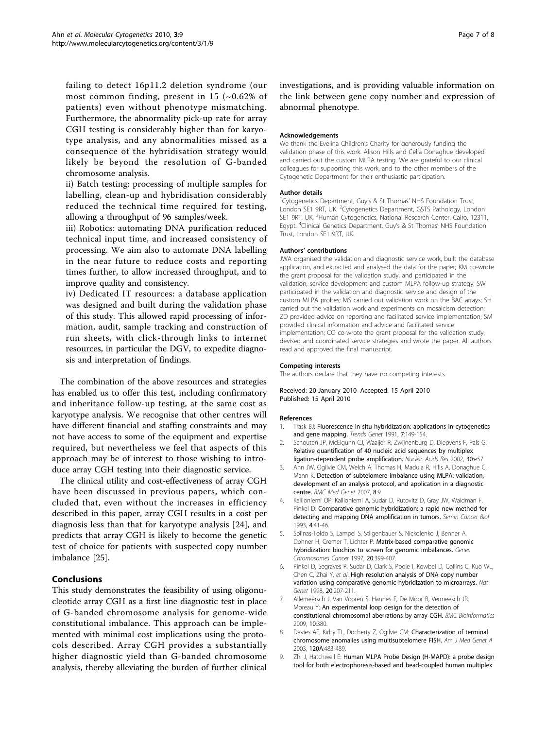<span id="page-6-0"></span>failing to detect 16p11.2 deletion syndrome (our most common finding, present in 15  $(-0.62\% \text{ of }$ patients) even without phenotype mismatching. Furthermore, the abnormality pick-up rate for array CGH testing is considerably higher than for karyotype analysis, and any abnormalities missed as a consequence of the hybridisation strategy would likely be beyond the resolution of G-banded chromosome analysis.

ii) Batch testing: processing of multiple samples for labelling, clean-up and hybridisation considerably reduced the technical time required for testing, allowing a throughput of 96 samples/week.

iii) Robotics: automating DNA purification reduced technical input time, and increased consistency of processing. We aim also to automate DNA labelling in the near future to reduce costs and reporting times further, to allow increased throughput, and to improve quality and consistency.

iv) Dedicated IT resources: a database application was designed and built during the validation phase of this study. This allowed rapid processing of information, audit, sample tracking and construction of run sheets, with click-through links to internet resources, in particular the DGV, to expedite diagnosis and interpretation of findings.

The combination of the above resources and strategies has enabled us to offer this test, including confirmatory and inheritance follow-up testing, at the same cost as karyotype analysis. We recognise that other centres will have different financial and staffing constraints and may not have access to some of the equipment and expertise required, but nevertheless we feel that aspects of this approach may be of interest to those wishing to introduce array CGH testing into their diagnostic service.

The clinical utility and cost-effectiveness of array CGH have been discussed in previous papers, which concluded that, even without the increases in efficiency described in this paper, array CGH results in a cost per diagnosis less than that for karyotype analysis [\[24](#page-7-0)], and predicts that array CGH is likely to become the genetic test of choice for patients with suspected copy number imbalance [\[25](#page-7-0)].

#### Conclusions

This study demonstrates the feasibility of using oligonucleotide array CGH as a first line diagnostic test in place of G-banded chromosome analysis for genome-wide constitutional imbalance. This approach can be implemented with minimal cost implications using the protocols described. Array CGH provides a substantially higher diagnostic yield than G-banded chromosome analysis, thereby alleviating the burden of further clinical investigations, and is providing valuable information on the link between gene copy number and expression of abnormal phenotype.

#### Acknowledgements

We thank the Evelina Children's Charity for generously funding the validation phase of this work. Alison Hills and Celia Donaghue developed and carried out the custom MLPA testing. We are grateful to our clinical colleagues for supporting this work, and to the other members of the Cytogenetic Department for their enthusiastic participation.

#### Author details

<sup>1</sup>Cytogenetics Department, Guy's & St Thomas' NHS Foundation Trust London SE1 9RT, UK. <sup>2</sup>Cytogenetics Department, GSTS Pathology, London SE1 9RT, UK. <sup>3</sup>Human Cytogenetics, National Research Center, Cairo, 12311, Egypt. <sup>4</sup>Clinical Genetics Department, Guy's & St Thomas' NHS Foundation Trust, London SE1 9RT, UK.

#### Authors' contributions

JWA organised the validation and diagnostic service work, built the database application, and extracted and analysed the data for the paper; KM co-wrote the grant proposal for the validation study, and participated in the validation, service development and custom MLPA follow-up strategy; SW participated in the validation and diagnostic service and design of the custom MLPA probes; MS carried out validation work on the BAC arrays; SH carried out the validation work and experiments on mosaicism detection; ZD provided advice on reporting and facilitated service implementation; SM provided clinical information and advice and facilitated service implementation; CO co-wrote the grant proposal for the validation study, devised and coordinated service strategies and wrote the paper. All authors read and approved the final manuscript.

#### Competing interests

The authors declare that they have no competing interests.

Received: 20 January 2010 Accepted: 15 April 2010 Published: 15 April 2010

#### References

- Trask BJ: [Fluorescence in situ hybridization: applications in cytogenetics](http://www.ncbi.nlm.nih.gov/pubmed/2068787?dopt=Abstract) [and gene mapping.](http://www.ncbi.nlm.nih.gov/pubmed/2068787?dopt=Abstract) Trends Genet 1991, 7:149-154.
- 2. Schouten JP, McElgunn CJ, Waaijer R, Zwijnenburg D, Diepvens F, Pals G: [Relative quantification of 40 nucleic acid sequences by multiplex](http://www.ncbi.nlm.nih.gov/pubmed/12060695?dopt=Abstract) [ligation-dependent probe amplification.](http://www.ncbi.nlm.nih.gov/pubmed/12060695?dopt=Abstract) Nucleic Acids Res 2002, 30:e57.
- 3. Ahn JW, Ogilvie CM, Welch A, Thomas H, Madula R, Hills A, Donaghue C, Mann K: [Detection of subtelomere imbalance using MLPA: validation,](http://www.ncbi.nlm.nih.gov/pubmed/17338807?dopt=Abstract) [development of an analysis protocol, and application in a diagnostic](http://www.ncbi.nlm.nih.gov/pubmed/17338807?dopt=Abstract) [centre.](http://www.ncbi.nlm.nih.gov/pubmed/17338807?dopt=Abstract) BMC Med Genet 2007, 8:9.
- 4. Kallioniemi OP, Kallioniemi A, Sudar D, Rutovitz D, Gray JW, Waldman F, Pinkel D: [Comparative genomic hybridization: a rapid new method for](http://www.ncbi.nlm.nih.gov/pubmed/8448377?dopt=Abstract) [detecting and mapping DNA amplification in tumors.](http://www.ncbi.nlm.nih.gov/pubmed/8448377?dopt=Abstract) Semin Cancer Biol 1993, 4:41-46.
- 5. Solinas-Toldo S, Lampel S, Stilgenbauer S, Nickolenko J, Benner A, Dohner H, Cremer T, Lichter P: [Matrix-based comparative genomic](http://www.ncbi.nlm.nih.gov/pubmed/9408757?dopt=Abstract) [hybridization: biochips to screen for genomic imbalances.](http://www.ncbi.nlm.nih.gov/pubmed/9408757?dopt=Abstract) Genes Chromosomes Cancer 1997, 20:399-407.
- 6. Pinkel D, Segraves R, Sudar D, Clark S, Poole I, Kowbel D, Collins C, Kuo WL, Chen C, Zhai Y, et al: [High resolution analysis of DNA copy number](http://www.ncbi.nlm.nih.gov/pubmed/9771718?dopt=Abstract) [variation using comparative genomic hybridization to microarrays.](http://www.ncbi.nlm.nih.gov/pubmed/9771718?dopt=Abstract) Nat Genet 1998, 20:207-211.
- 7. Allemeersch J, Van Vooren S, Hannes F, De Moor B, Vermeesch JR, Moreau Y: [An experimental loop design for the detection of](http://www.ncbi.nlm.nih.gov/pubmed/19925645?dopt=Abstract) [constitutional chromosomal aberrations by array CGH.](http://www.ncbi.nlm.nih.gov/pubmed/19925645?dopt=Abstract) BMC Bioinformatics 2009, 10:380.
- 8. Davies AF, Kirby TL, Docherty Z, Ogilvie CM: [Characterization of terminal](http://www.ncbi.nlm.nih.gov/pubmed/12884426?dopt=Abstract) [chromosome anomalies using multisubtelomere FISH.](http://www.ncbi.nlm.nih.gov/pubmed/12884426?dopt=Abstract) Am J Med Genet A 2003, 120A:483-489.
- 9. Zhi J, Hatchwell E: [Human MLPA Probe Design \(H-MAPD\): a probe design](http://www.ncbi.nlm.nih.gov/pubmed/18783624?dopt=Abstract) [tool for both electrophoresis-based and bead-coupled human multiplex](http://www.ncbi.nlm.nih.gov/pubmed/18783624?dopt=Abstract)